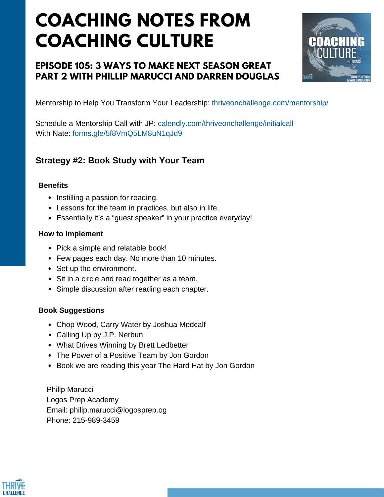# **COACHING NOTES FROM COACHING CULTURE**

## **EPISODE 105: 3 WAYS TO MAKE NEXT SEASON GREAT PART 2 WITH PHILLIP MARUCCI AND DARREN DOUGLAS**



Mentorship to Help You Transform Your Leadership: thriveonchallenge.com/mentorship/

Schedule a Mentorship Call with JP: calendly.com/thriveonchallenge/initialcall With Nate: forms.gle/5f8VmO5LM8uN1qJd9

## **Strategy #2: Book Study with Your Team**

### **Benefits**

- Instilling a passion for reading.
- Lessons for the team in practices, but also in life.
- Essentially it's a "guest speaker" in your practice everyday!

### **How to Implement**

- Pick a simple and relatable book!
- Few pages each day. No more than 10 minutes.
- Set up the environment.
- Sit in a circle and read together as a team.
- Simple discussion after reading each chapter.

### **Book Suggestions**

- Chop Wood, Carry Water by Joshua Medcalf
- Calling Up by J.P. Nerbun
- What Drives Winning by Brett Ledbetter
- The Power of a Positive Team by Jon Gordon
- Book we are reading this year The Hard Hat by Jon Gordon

Phillp Marucci Logos Prep Academy Email: philip.marucci@logosprep.og Phone: 215-989-3459